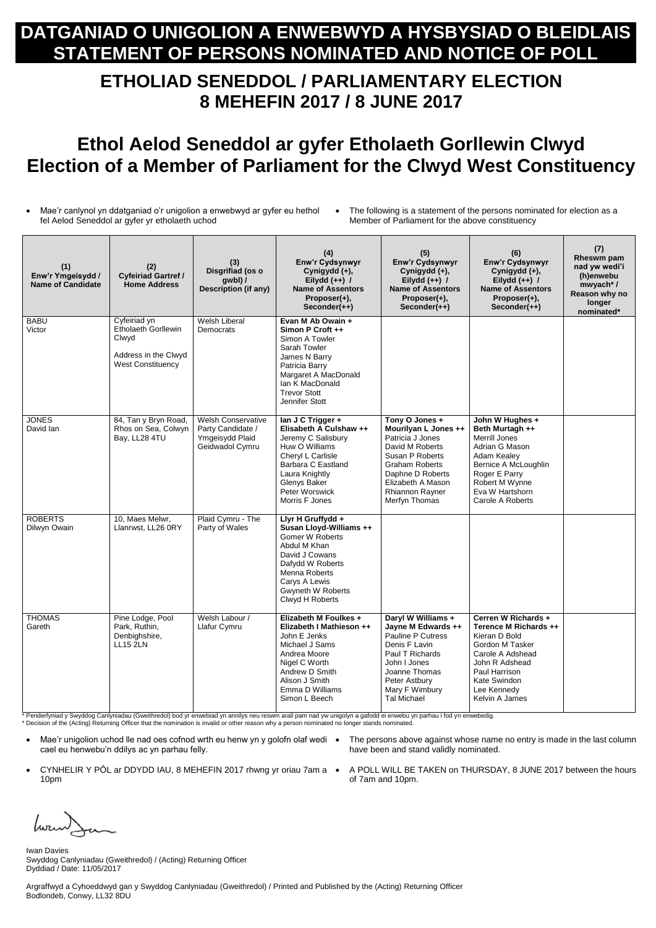## **DATGANIAD O UNIGOLION A ENWEBWYD A HYSBYSIAD O BLEIDLAIS STATEMENT OF PERSONS NOMINATED AND NOTICE OF POLL**

## **ETHOLIAD SENEDDOL / PARLIAMENTARY ELECTION 8 MEHEFIN 2017 / 8 JUNE 2017**

## **Ethol Aelod Seneddol ar gyfer Etholaeth Gorllewin Clwyd Election of a Member of Parliament for the Clwyd West Constituency**

 Mae'r canlynol yn ddatganiad o'r unigolion a enwebwyd ar gyfer eu hethol fel Aelod Seneddol ar gyfer yr etholaeth uchod

 The following is a statement of the persons nominated for election as a Member of Parliament for the above constituency

| (1)<br>Enw'r Ymgeisydd /<br><b>Name of Candidate</b> | (2)<br><b>Cyfeiriad Gartref /</b><br><b>Home Address</b>                                         | (3)<br>Disgrifiad (os o<br>gwbl) /<br><b>Description (if any)</b>                    | (4)<br>Enw'r Cydsynwyr<br>Cynigydd (+),<br>Eilydd $(++)$ /<br><b>Name of Assentors</b><br>Proposer(+),<br>Seconder(++)                                                                                        | (5)<br>Enw'r Cydsynwyr<br>Cynigydd (+),<br>Eilydd $(++)$ /<br><b>Name of Assentors</b><br>Proposer(+),<br>Seconder(++)                                                                                 | (6)<br>Enw'r Cydsynwyr<br>Cynigydd (+),<br>Eilydd $(++)$ /<br><b>Name of Assentors</b><br>Proposer(+),<br>Seconder(++)                                                                        | (7)<br>Rheswm pam<br>nad yw wedi'i<br>(h)enwebu<br>mwyach*/<br>Reason why no<br>longer<br>nominated* |
|------------------------------------------------------|--------------------------------------------------------------------------------------------------|--------------------------------------------------------------------------------------|---------------------------------------------------------------------------------------------------------------------------------------------------------------------------------------------------------------|--------------------------------------------------------------------------------------------------------------------------------------------------------------------------------------------------------|-----------------------------------------------------------------------------------------------------------------------------------------------------------------------------------------------|------------------------------------------------------------------------------------------------------|
| <b>BABU</b><br>Victor                                | Cyfeiriad yn<br>Etholaeth Gorllewin<br>Clwyd<br>Address in the Clwyd<br><b>West Constituency</b> | <b>Welsh Liberal</b><br>Democrats                                                    | Evan M Ab Owain +<br>Simon P Croft ++<br>Simon A Towler<br>Sarah Towler<br>James N Barry<br>Patricia Barry<br>Margaret A MacDonald<br>Ian K MacDonald<br><b>Trevor Stott</b><br>Jennifer Stott                |                                                                                                                                                                                                        |                                                                                                                                                                                               |                                                                                                      |
| <b>JONES</b><br>David Ian                            | 84, Tan y Bryn Road,<br>Rhos on Sea, Colwyn<br>Bay, LL28 4TU                                     | <b>Welsh Conservative</b><br>Party Candidate /<br>Ymgeisydd Plaid<br>Geidwadol Cymru | lan J C Trigger +<br>Elisabeth A Culshaw ++<br>Jeremy C Salisbury<br>Huw O Williams<br>Cheryl L Carlisle<br>Barbara C Eastland<br>Laura Knightly<br>Glenys Baker<br>Peter Worswick<br>Morris F Jones          | Tony O Jones +<br>Mourilyan L Jones ++<br>Patricia J Jones<br>David M Roberts<br>Susan P Roberts<br><b>Graham Roberts</b><br>Daphne D Roberts<br>Elizabeth A Mason<br>Rhiannon Rayner<br>Merfyn Thomas | John W Hughes +<br>Beth Murtagh ++<br><b>Merrill Jones</b><br>Adrian G Mason<br>Adam Kealey<br>Bernice A McLoughlin<br>Roger E Parry<br>Robert M Wynne<br>Eva W Hartshorn<br>Carole A Roberts |                                                                                                      |
| <b>ROBERTS</b><br>Dilwyn Owain                       | 10, Maes Melwr,<br>Llanrwst, LL26 0RY                                                            | Plaid Cymru - The<br>Party of Wales                                                  | Llyr H Gruffydd +<br>Susan Lloyd-Williams ++<br><b>Gomer W Roberts</b><br>Abdul M Khan<br>David J Cowans<br>Dafydd W Roberts<br>Menna Roberts<br>Carys A Lewis<br><b>Gwyneth W Roberts</b><br>Clwyd H Roberts |                                                                                                                                                                                                        |                                                                                                                                                                                               |                                                                                                      |
| <b>THOMAS</b><br>Gareth                              | Pine Lodge, Pool<br>Park, Ruthin,<br>Denbighshire,<br><b>LL15 2LN</b>                            | Welsh Labour /<br>Llafur Cymru                                                       | Elizabeth M Foulkes +<br>Elizabeth I Mathieson ++<br>John E Jenks<br>Michael J Sams<br>Andrea Moore<br>Nigel C Worth<br>Andrew D Smith<br>Alison J Smith<br>Emma D Williams<br>Simon L Beech                  | Daryl W Williams +<br>Jayne M Edwards ++<br>Pauline P Cutress<br>Denis F Lavin<br>Paul T Richards<br>John I Jones<br>Joanne Thomas<br>Peter Astbury<br>Mary F Wimbury<br><b>Tal Michael</b>            | Cerren W Richards +<br>Terence M Richards ++<br>Kieran D Bold<br>Gordon M Tasker<br>Carole A Adshead<br>John R Adshead<br>Paul Harrison<br>Kate Swindon<br>Lee Kennedy<br>Kelvin A James      |                                                                                                      |

- Mae'r unigolion uchod lle nad oes cofnod wrth eu henw yn y golofn olaf wedi The persons above against whose name no entry is made in the last column cael eu henwebu'n ddilys ac yn parhau felly.
- CYNHELIR Y PÔL ar DDYDD IAU, 8 MEHEFIN 2017 rhwng yr oriau 7am a A POLL WILL BE TAKEN on THURSDAY, 8 JUNE 2017 between the hours 10pm
- have been and stand validly nominated.
	- of 7am and 10pm.

\* Penderfyniad y Swyddog Canlyniadau (Gweithredol) bod yr enwebiad yn annilys neu reswm arall pam nad yw unigolyn a gafodd ei enwebu yn parhau i fod yn enwebedig. \* Decision of the (Acting) Returning Officer that the nomination is invalid or other reason why a person nominated no longer stands nominated.

Iwan Davies Swyddog Canlyniadau (Gweithredol) / (Acting) Returning Officer Dyddiad / Date: 11/05/2017

Argraffwyd a Cyhoeddwyd gan y Swyddog Canlyniadau (Gweithredol) / Printed and Published by the (Acting) Returning Officer Bodlondeb, Conwy, LL32 8DU